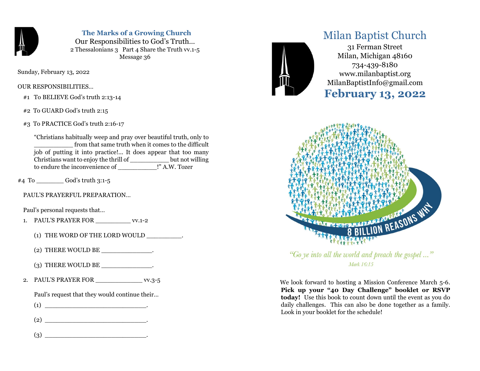

 The Marks of a Growing Church Our Responsibilities to God's Truth… 2 Thessalonians 3 Part 4 Share the Truth vv.1-5 Message 36

Sunday, February 13, 2022

OUR RESPONSIBILITIES…

#1 To BELIEVE God's truth 2:13-14

#2 To GUARD God's truth 2:15

#3 To PRACTICE God's truth 2:16-17

"Christians habitually weep and pray over beautiful truth, only to from that same truth when it comes to the difficult job of putting it into practice!... It does appear that too many Christians want to enjoy the thrill of \_\_\_\_\_\_\_\_\_\_ but not willing to endure the inconvenience of \_\_\_\_\_\_\_\_\_\_!" A.W. Tozer

 $#4$  To God's truth 3:1-5

PAUL'S PRAYERFUL PREPARATION…

Paul's personal requests that…

- 1. PAUL'S PRAYER FOR \_\_\_\_\_\_\_\_\_ vv.1-2
	- (1) THE WORD OF THE LORD WOULD \_\_\_\_\_\_\_\_\_.
	- (2) THERE WOULD BE  $\_\_$
	- $(3)$  THERE WOULD BE  $\qquad \qquad .$
- 2. PAUL'S PRAYER FOR \_\_\_\_\_\_\_\_\_\_\_\_\_\_\_ vv.3-5

Paul's request that they would continue their…

 $(1)$   $\qquad \qquad \qquad$ 

(2) \_\_\_\_\_\_\_\_\_\_\_\_\_\_\_\_\_\_\_\_\_\_\_\_\_\_.

(3) \_\_\_\_\_\_\_\_\_\_\_\_\_\_\_\_\_\_\_\_\_\_\_\_\_\_.



## Milan Baptist Church

31 Ferman Street Milan, Michigan 48160 734-439-8180 www.milanbaptist.org MilanBaptistInfo@gmail.com

# February 13, 2022



"Go ye into all the world and preach the gospel ..." Mark 16:15

 We look forward to hosting a Mission Conference March 5-6. Pick up your "40 Day Challenge" booklet or RSVP today! Use this book to count down until the event as you do daily challenges. This can also be done together as a family. Look in your booklet for the schedule!